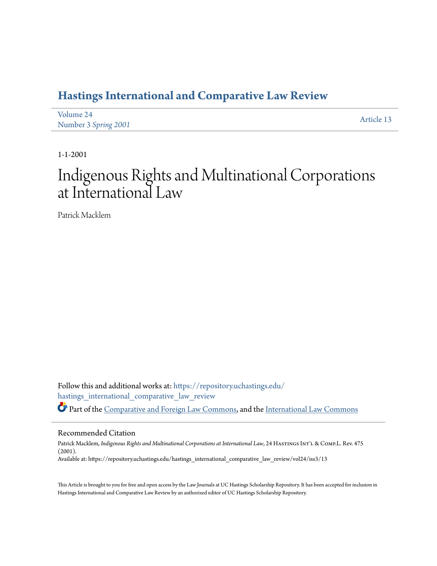### **[Hastings International and Comparative Law Review](https://repository.uchastings.edu/hastings_international_comparative_law_review?utm_source=repository.uchastings.edu%2Fhastings_international_comparative_law_review%2Fvol24%2Fiss3%2F13&utm_medium=PDF&utm_campaign=PDFCoverPages)**

| Volume 24            | Article 13 |
|----------------------|------------|
| Number 3 Spring 2001 |            |

1-1-2001

# Indigenous Rights and Multinational Corporations at International Law

Patrick Macklem

Follow this and additional works at: [https://repository.uchastings.edu/](https://repository.uchastings.edu/hastings_international_comparative_law_review?utm_source=repository.uchastings.edu%2Fhastings_international_comparative_law_review%2Fvol24%2Fiss3%2F13&utm_medium=PDF&utm_campaign=PDFCoverPages) [hastings\\_international\\_comparative\\_law\\_review](https://repository.uchastings.edu/hastings_international_comparative_law_review?utm_source=repository.uchastings.edu%2Fhastings_international_comparative_law_review%2Fvol24%2Fiss3%2F13&utm_medium=PDF&utm_campaign=PDFCoverPages) Part of the [Comparative and Foreign Law Commons](http://network.bepress.com/hgg/discipline/836?utm_source=repository.uchastings.edu%2Fhastings_international_comparative_law_review%2Fvol24%2Fiss3%2F13&utm_medium=PDF&utm_campaign=PDFCoverPages), and the [International Law Commons](http://network.bepress.com/hgg/discipline/609?utm_source=repository.uchastings.edu%2Fhastings_international_comparative_law_review%2Fvol24%2Fiss3%2F13&utm_medium=PDF&utm_campaign=PDFCoverPages)

#### Recommended Citation

Patrick Macklem, *Indigenous Rights and Multinational Corporations at International Law*, 24 HASTINGS INT'L & COMP.L. Rev. 475 (2001). Available at: https://repository.uchastings.edu/hastings\_international\_comparative\_law\_review/vol24/iss3/13

This Article is brought to you for free and open access by the Law Journals at UC Hastings Scholarship Repository. It has been accepted for inclusion in Hastings International and Comparative Law Review by an authorized editor of UC Hastings Scholarship Repository.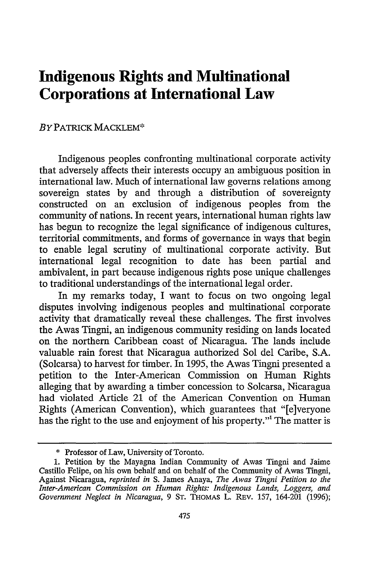## **Indigenous Rights and Multinational Corporations at International Law**

#### *BY* PATRICK MACKLEM\*

Indigenous peoples confronting multinational corporate activity that adversely affects their interests occupy an ambiguous position in international law. Much of international law governs relations among sovereign states by and through a distribution of sovereignty constructed on an exclusion of indigenous peoples from the community of nations. In recent years, international human rights law has begun to recognize the legal significance of indigenous cultures, territorial commitments, and forms of governance in ways that begin to enable legal scrutiny of multinational corporate activity. But international legal recognition to date has been partial and ambivalent, in part because indigenous rights pose unique challenges to traditional understandings of the international legal order.

In my remarks today, I want to focus on two ongoing legal disputes involving indigenous peoples and multinational corporate activity that dramatically reveal these challenges. The first involves the Awas Tingni, an indigenous community residing on lands located on the northern Caribbean coast of Nicaragua. The lands include valuable rain forest that Nicaragua authorized Sol del Caribe, S.A. (Solcarsa) to harvest for timber. In 1995, the Awas Tingni presented a petition to the Inter-American Commission on Human Rights alleging that by awarding a timber concession to Solcarsa, Nicaragua had violated Article 21 of the American Convention on Human Rights (American Convention), which guarantees that "[e]veryone has the right to the use and enjoyment of his property."' The matter is

<sup>\*</sup> Professor of Law, University of Toronto.

<sup>1.</sup> Petition by the Mayagna Indian Community of Awas Tingni and Jaime Castillo Felipe, on his own behalf and on behalf of the Community of Awas Tingni, Against Nicaragua, *reprinted in* S. James Anaya, *The Awas Tingni Petition to the Inter-American Commission on Human Rights: Indigenous Lands, Loggers, and Government Neglect in Nicaragua,* 9 **ST.** THOMAS L. REv. 157, 164-201 (1996);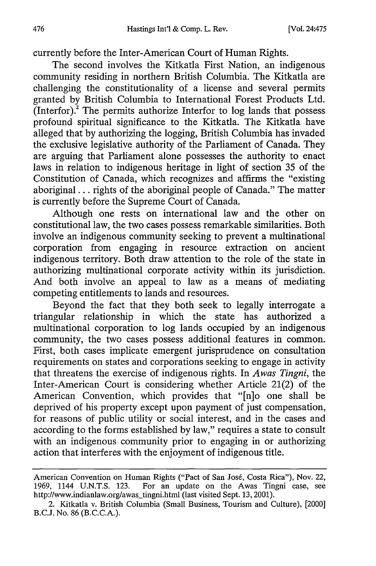currently before the Inter-American Court of Human Rights.

The second involves the Kitkatla First Nation, an indigenous community residing in northern British Columbia. The Kitkatla are challenging the constitutionality of a license and several permits granted by British Columbia to International Forest Products Ltd. (Interfor).<sup>2</sup> The permits authorize Interfor to log lands that possess profound spiritual significance to the Kitkatla. The Kitkatla have alleged that by authorizing the logging, British Columbia has invaded the exclusive legislative authority of the Parliament of Canada. They are arguing that Parliament alone possesses the authority to enact laws in relation to indigenous heritage in light of section 35 of the Constitution of Canada, which recognizes and affirms the "existing aboriginal... rights of the aboriginal people of Canada." The matter is currently before the Supreme Court of Canada.

Although one rests on international law and the other on constitutional law, the two cases possess remarkable similarities. Both involve an indigenous community seeking to prevent a multinational corporation from engaging in resource extraction on ancient indigenous territory. Both draw attention to the role of the state in authorizing multinational corporate activity within its jurisdiction. And both involve an appeal to law as a means of mediating competing entitlements to lands and resources.

Beyond the fact that they both seek to legally interrogate a triangular relationship in which the state has authorized a multinational corporation to log lands occupied by an indigenous community, the two cases possess additional features in common. First, both cases implicate emergent jurisprudence on consultation requirements on states and corporations seeking to engage in activity that threatens the exercise of indigenous rights. In *Awas Tingni,* the Inter-American Court is considering whether Article 21(2) of the American Convention, which provides that "[n]o one shall be deprived of his property except upon payment of just compensation, for reasons of public utility or social interest, and in the cases and according to the forms established by law," requires a state to consult with an indigenous community prior to engaging in or authorizing action that interferes with the enjoyment of indigenous title.

American Convention on Human Rights ("Pact of San José, Costa Rica"), Nov. 22, 1969, 1144 U.N.T.S. 123. For an update on the Awas Tingni case, see http://www.indianlaw.org/awas\_tingni.html (last visited Sept. 13, 2001).

<sup>2.</sup> Kitkatla v. British Columbia (Small Business, Tourism and Culture), [2000] B.C.J. No. 86 (B.C.C.A.).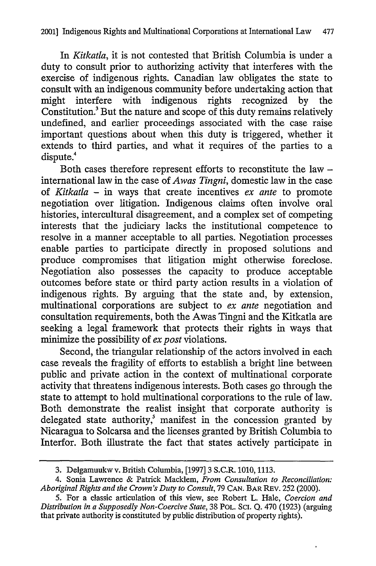In *Kitkatla,* it is not contested that British Columbia is under a duty to consult prior to authorizing activity that interferes with the exercise of indigenous rights. Canadian law obligates the state to consult with an indigenous community before undertaking action that might interfere with indigenous rights recognized by the Constitution.<sup>3</sup> But the nature and scope of this duty remains relatively undefined, and earlier proceedings associated with the case raise important questions about when this duty is triggered, whether it extends to third parties, and what it requires of the parties to a dispute.<sup>4</sup>

Both cases therefore represent efforts to reconstitute the law international law in the case of *Awas Tingni,* domestic law in the case of *Kitkatla* - in ways that create incentives *ex ante* to promote negotiation over litigation. Indigenous claims often involve oral histories, intercultural disagreement, and a complex set of competing interests that the judiciary lacks the institutional competence to resolve in a manner acceptable to all parties. Negotiation processes enable parties to participate directly in proposed solutions and produce compromises that litigation might otherwise foreclose. Negotiation also possesses the capacity to produce acceptable outcomes before state or third party action results in a violation of indigenous rights. By arguing that the state and, by extension, multinational corporations are subject to *ex ante* negotiation and consultation requirements, both the Awas Tingni and the Kitkatla are seeking a legal framework that protects their rights in ways that minimize the possibility of *ex post* violations.

Second, the triangular relationship of the actors involved in each case reveals the fragility of efforts to establish a bright line between public and private action in the context of multinational corporate activity that threatens indigenous interests. Both cases go through the state to attempt to hold multinational corporations to the rule of law. Both demonstrate the realist insight that corporate authority is delegated state authority,<sup>5</sup> manifest in the concession granted by Nicaragua to Solcarsa and the licenses granted by British Columbia to Interfor. Both illustrate the fact that states actively participate in

<sup>3.</sup> Delgamuukw v. British Columbia, [1997] 3 S.C.R. 1010, 1113.

<sup>4.</sup> Sonia Lawrence & Patrick Macklem, *From Consultation to Reconciliation: Aboriginal Rights and the Crown's Duty to Consult,* 79 **CAN.** BAR REV. 252 (2000).

<sup>5.</sup> For a classic articulation of this view, see Robert L. Hale, *Coercion and Distribution in a Supposedly Non-Coercive State,* 38 POL. **SCI. Q.** 470 (1923) (arguing that private authority is constituted by public distribution of property rights).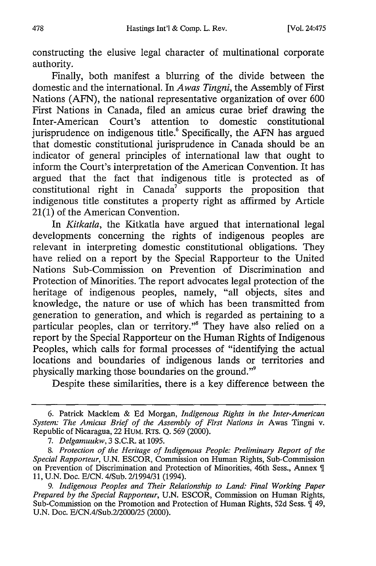constructing the elusive legal character of multinational corporate authority.

Finally, both manifest a blurring of the divide between the domestic and the international. In *Awas Tingni,* the Assembly of First Nations (AFN), the national representative organization of over 600 First Nations in Canada, filed an amicus curae brief drawing the Inter-American Court's attention to domestic constitutional Inter-American Court's attention to domestic constitutional jurisprudence on indigenous title.<sup>6</sup> Specifically, the AFN has argued that domestic constitutional jurisprudence in Canada should be an indicator of general principles of international law that ought to inform the Court's interpretation of the American Convention. It has argued that the fact that indigenous title is protected as of constitutional right in  $Canada^7$  supports the proposition that indigenous title constitutes a property right as affirmed by Article  $21(1)$  of the American Convention.

In *Kitkatla,* the Kitkatla have argued that international legal developments concerning the rights of indigenous peoples are relevant in interpreting domestic constitutional obligations. They have relied on a report by the Special Rapporteur to the United Nations Sub-Commission on Prevention of Discrimination and Protection of Minorities. The report advocates legal protection of the heritage of indigenous peoples, namely, "all objects, sites and knowledge, the nature or use of which has been transmitted from generation to generation, and which is regarded as pertaining to a particular peoples, clan or territory."<sup>8</sup> They have also relied on a report by the Special Rapporteur on the Human Rights of Indigenous Peoples, which calls for formal processes of "identifying the actual locations and boundaries of indigenous lands or territories and physically marking those boundaries on the ground."9

Despite these similarities, there is a key difference between the

<sup>6.</sup> Patrick Macklem & Ed Morgan, *Indigenous Rights in the Inter-American System: The Amicus Brief of the Assembly of First Nations in* Awas Tingni v. Republic of Nicaragua, 22 HuM. RTS. Q. 569 (2000).

*<sup>7.</sup> Delgamuukw,* 3 S.C.R. at 1095.

*<sup>8.</sup> Protection of the Heritage of Indigenous People: Preliminary Report of the Special Rapporteur,* U.N. ESCOR, Commission on Human Rights, Sub-Commission on Prevention of Discrimination and Protection of Minorities, 46th Sess., Annex **9I** 11, U.N. Doc. E/CN. 4/Sub. 2/1994/31 (1994).

*<sup>9.</sup> Indigenous Peoples and Their Relationship to Land: Final Working Paper Prepared by the Special Rapporteur,* U.N. ESCOR, Commission on Human Rights, Sub-Commission on the Promotion and Protection of Human Rights, 52d Sess.  $\overline{\mathfrak{q}}$  49, U.N. Doc. E/CN.4/Sub.2/2000/25 (2000).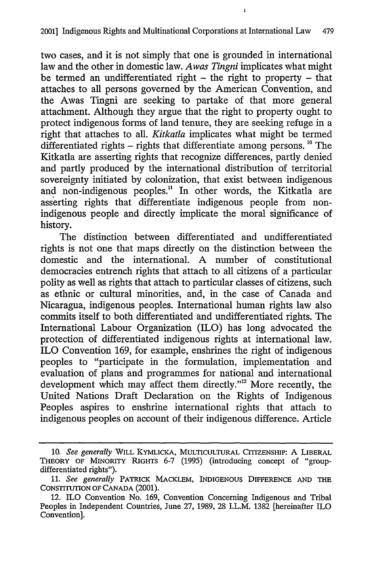$\mathbf{r}$ 

two cases, and it is not simply that one is grounded in international law and the other in domestic law. *Awas Tingni* implicates what might be termed an undifferentiated right  $-$  the right to property  $-$  that attaches to all persons governed by the American Convention, and the Awas Tingni are seeking to partake of that more general attachment. Although they argue that the right to property ought to protect indigenous forms of land tenure, they are seeking refuge in a right that attaches to all. *Kitkatla* implicates what might be termed differentiated rights - rights that differentiate among persons. **"** The Kitkatla are asserting rights that recognize differences, partly denied and partly produced by the international distribution of territorial sovereignty initiated by colonization, that exist between indigenous and non-indigenous peoples.<sup>11</sup> In other words, the Kitkatla are asserting rights that differentiate indigenous people from nonindigenous people and directly implicate the moral significance of history.

The distinction between differentiated and undifferentiated rights is not one that maps directly on the distinction between the domestic and the international. A number of constitutional democracies entrench rights that attach to all citizens of a particular polity as well as rights that attach to particular classes of citizens, such as ethnic or cultural minorities, and, in the case of Canada and Nicaragua, indigenous peoples. International human rights law also commits itself to both differentiated and undifferentiated rights. The International Labour Organization (ILO) has long advocated the protection of differentiated indigenous rights at international law. ILO Convention 169, for example, enshrines the right of indigenous peoples to "participate in the formulation, implementation and evaluation of plans and programmes for national and international development which may affect them directly."<sup>12</sup> More recently, the United Nations Draft Declaration on the Rights of Indigenous Peoples aspires to enshrine international rights that attach to indigenous peoples on account of their indigenous difference. Article

<sup>10.</sup> *See generally* WILL KYMLiCKA, **MULTICULTURAL** CITIZENSHIP: A LIBERAL THEORY OF MINORITY **RIGHTS** 6-7 (1995) (introducing concept of "groupdifferentiated rights").

<sup>11.</sup> *See generally* PATRICK MACKLEM, INDIGENOUS DIFFERENCE **AND** THE CONSTITUTION **OF CANADA** (2001).

<sup>12.</sup> ILO Convention No. 169, Convention Concerning Indigenous and Tribal Peoples in Independent Countries, June 27, 1989, 28 I.L.M. 1382 [hereinafter ILO Convention].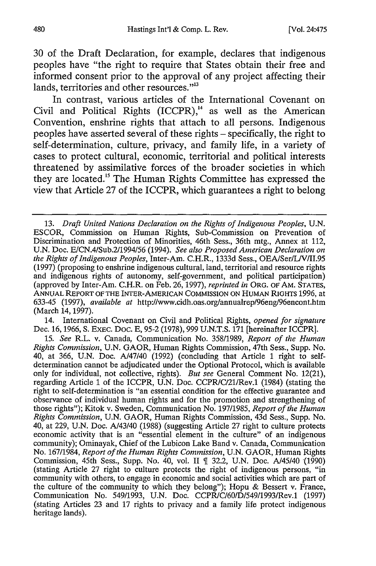30 of the Draft Declaration, for example, declares that indigenous peoples have "the right to require that States obtain their free and informed consent prior to the approval of any project affecting their lands, territories and other resources."<sup>13</sup>

In contrast, various articles of the International Covenant on Civil and Political Rights  $(ICCPR)$ ,<sup> $14$ </sup> as well as the American Convention, enshrine rights that attach to all persons. Indigenous peoples have asserted several of these rights - specifically, the right to self-determination, culture, privacy, and family life, in a variety of cases to protect cultural, economic, territorial and political interests threatened by assimilative forces of the broader societies in which they are located.<sup>15</sup> The Human Rights Committee has expressed the view that Article 27 of the ICCPR, which guarantees a right to belong

14. International Covenant on Civil and Political Rights, *opened for signature* Dec. 16, 1966, **S.** EXEC. Doc. E, 95-2 (1978), 999 U.N.T.S. 171 [hereinafter ICCPR].

<sup>13.</sup> *Draft United Nations Declaration on the Rights of Indigenous Peoples,* U.N. ESCOR, Commission on Human Rights, Sub-Commission on Prevention of Discrimination and Protection of Minorities, 46th Sess., 36th mtg., Annex at 112, U.N. Doc. E/CN.4/Sub.2/1994/56 (1994). *See also Proposed American Declaration on the Rights of Indigenous Peoples,* Inter-Am. C.H.R., 1333d Sess., OEA/Ser/L/V/II.95 (1997) (proposing to enshrine indigenous cultural, land, territorial and resource rights and indigenous rights of autonomy, self-government, and political participation) (approved by Inter-Am. C.H.R. on Feb. 26, 1997), *reprinted in* ORG. OF AM. **STATES, ANNUAL** REPORT **OF** THE INTER-AMERICAN COMMISSION **ON HUMAN** RIGHTS 1996, at 633-45 (1997), *available at* http:llwww.cidh.oas.orglannualrep/96eng/96encont.htm (March 14, 1997).

<sup>15.</sup> *See* R.L. v. Canada, Communication No. 358/1989, *Report of the Human Rights Commission,* U.N. GAOR, Human Rights Commission, 47th Sess., Supp. No. 40, at 366, U.N. Doc. A/47/40 (1992) (concluding that Article 1 right to selfdetermination cannot be adjudicated under the Optional Protocol, which is available only for individual, not collective, rights). *But see* General Comment No. 12(21), regarding Article 1 of the ICCPR, U.N. Doc. CCPR/C/21/Rev.1 (1984) (stating the right to self-determination is "an essential condition for the effective guarantee and observance of individual human rights and for the promotion and strengthening of those rights"); Kitok v. Sweden, Communication No. 197/1985, *Report of the Human Rights Commission,* U.N. GAOR, Human Rights Commission, 43d Sess., Supp. No. 40, at 229, U.N. Doc. A/43/40 (1988) (suggesting Article 27 right to culture protects economic activity that is an "essential element in the culture" of an indigenous community); Ominayak, Chief of the Lubicon Lake Band v. Canada, Communication No. 167/1984, *Report of the Human Rights Commission,* U.N. GAOR, Human Rights Commission, 45th Sess., Supp. No. 40, vol. II ¶ 32.2, U.N. Doc. A/45/40 (1990) (stating Article 27 right to culture protects the right of indigenous persons, "in community with others, to engage in economic and social activities which are part of the culture of the community to which they belong"); Hopu & Bessert v. France Communication No. 549/1993, U.N. Doc. CCPR/C/60/D/549/1993/Rev.1 (1997) (stating Articles 23 and 17 rights to privacy and a family life protect indigenous heritage lands).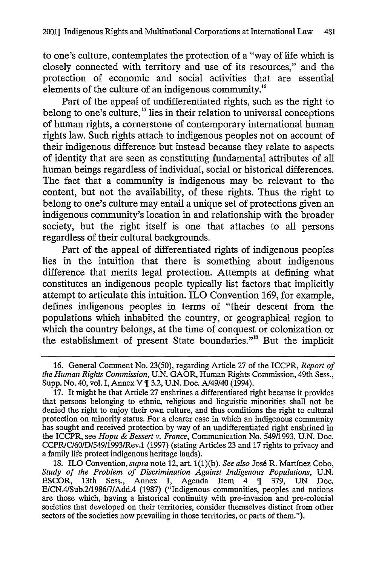to one's culture, contemplates the protection of a "way of life which is closely connected with territory and use of its resources," and the protection of economic and social activities that are essential elements of the culture of an indigenous community.<sup>16</sup>

Part of the appeal of undifferentiated rights, such as the right to belong to one's culture,<sup>17</sup> lies in their relation to universal conceptions of human rights, a cornerstone of contemporary international human rights law. Such rights attach to indigenous peoples not on account of their indigenous difference but instead because they relate to aspects of identity that are seen as constituting fundamental attributes of all human beings regardless of individual, social or historical differences. The fact that a community is indigenous may be relevant to the content, but not the availability, of these rights. Thus the right to belong to one's culture may entail a unique set of protections given an indigenous community's location in and relationship with the broader society, but the right itself is one that attaches to all persons regardless of their cultural backgrounds.

Part of the appeal of differentiated rights of indigenous peoples lies in the intuition that there is something about indigenous difference that merits legal protection. Attempts at defining what constitutes an indigenous people typically **list** factors that implicitly attempt to articulate this intuition. ILO Convention **169,** for example, defines indigenous peoples in terms of "their descent from the populations which inhabited the country, or geographical region to which the country belongs, at the time of conquest or colonization or the establishment of present State boundaries."<sup>18</sup> But the implicit

**<sup>16.</sup>** General Comment No. **23(50),** regarding Article **27** of the ICCPR, *Report of the Human Rights Commission,* **U.N.** GAOR, Human Rights Commission, 49th Sess., Supp. No. 40, vol. I, Annex V **3.2, U.N.** Doc. A/49140 (1994).

**<sup>17.</sup>** It might **be** that Article **27** enshrines a differentiated right because it provides that persons belonging to ethnic, religious and linguistic minorities shall not be denied the right to enjoy their own culture, and thus conditions the right to cultural protection on minority status. For a clearer case in which an indigenous community has sought and received protection **by** way of an undifferentiated right enshrined in the ICCPR, see *Hopu & Bessert v. France,* Communication No. **549/1993, U.N.** Doc. CCPRC/601D/549/1993/Rev.1 **(1997)** (stating Articles **23** and **17** rights to privacy and a family life protect indigenous heritage lands).

**<sup>18.</sup>** ILO Convention, *supra* note 12, art. **1(1)(b).** *See also* **Jos6** R. Martfnez Cobo, *Study of the Problem of Discrimination Against Indigenous Populations,* **U.N.** ESCOR, 13th Sess., Annex **I,** Agenda Item 4 **379, UN** Doc. E/CN.4/Sub.2/1986/7/Add.4 **(1987)** ("Indigenous communities, peoples and nations are those which, having a historical continuity with pre-invasion and pre-colonial societies that developed on their territories, consider themselves distinct from other sectors of the societies now prevailing in those territories, or parts of them.").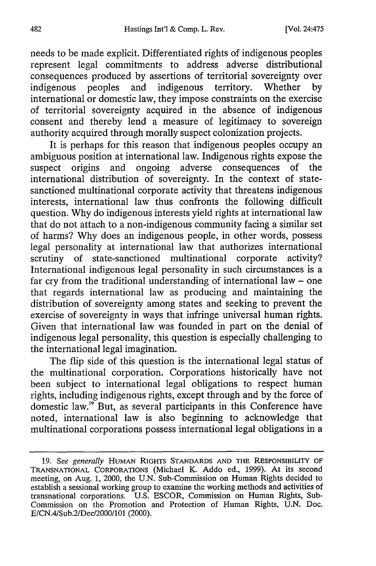needs to be made explicit. Differentiated rights of indigenous peoples represent legal commitments to address adverse distributional consequences produced by assertions of territorial sovereignty over indigenous peoples and indigenous territory. Whether by international or domestic law, they impose constraints on the exercise of territorial sovereignty acquired in the absence of indigenous consent and thereby lend a measure of legitimacy to sovereign authority acquired through morally suspect colonization projects.

It is perhaps for this reason that indigenous peoples occupy an ambiguous position at international law. Indigenous rights expose the suspect origins and ongoing adverse consequences of the international distribution of sovereignty. In the context of statesanctioned multinational corporate activity that threatens indigenous interests, international law thus confronts the following difficult question. Why do indigenous interests yield rights at international law that do not attach to a non-indigenous community facing a similar set of harms? Why does an indigenous people, in other words, possess legal personality at international law that authorizes international scrutiny of state-sanctioned multinational corporate activity? International indigenous legal personality in such circumstances is a far cry from the traditional understanding of international law  $-$  one that regards international law as producing and maintaining the distribution of sovereignty among states and seeking to prevent the exercise of sovereignty in ways that infringe universal human rights. Given that international law was founded in part on the denial of indigenous legal personality, this question is especially challenging to the international legal imagination.

The flip side of this question is the international legal status of the multinational corporation. Corporations historically have not been subject to international legal obligations to respect human rights, including indigenous rights, except through and by the force of domestic law.'9 But, as several participants in this Conference have noted, international law is also beginning to acknowledge that multinational corporations possess international legal obligations in a

<sup>19.</sup> *See generally* HUMAN RIGHTS STANDARDS AND THE RESPONSIBILITY OF TRANSNATIONAL CORPORATIONS (Michael K. Addo ed., 1999). At its second meeting, on Aug. 1, 2000, the U.N. Sub-Commission on Human Rights decided to establish a sessional working group to examine the working methods and activities of transnational corporations. U.S. ESCOR, Commission on Human Rights, Sub-Commission on the Promotion and Protection of Human Rights, U.N. Doc. E/CN.4/Sub.2/Dec/2000/101 (2000).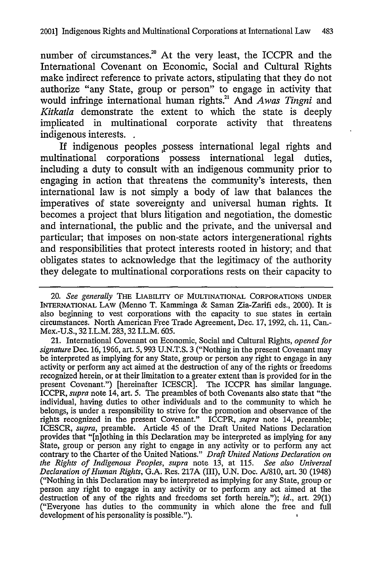number of circumstances.<sup>20</sup> At the very least, the ICCPR and the International Covenant on Economic, Social and Cultural Rights make indirect reference to private actors, stipulating that they do not authorize "any State, group or person" to engage in activity that would infringe international human rights.<sup>21</sup> And Awas Tingni and *Kitkatla* demonstrate the extent to which the state is deeply implicated in multinational corporate activity that threatens indigenous interests.

If indigenous peoples possess international legal rights and multinational corporations possess international legal duties, including a duty to consult with an indigenous community prior to engaging in action that threatens the community's interests, then international law is not simply a body of law that balances the imperatives of state sovereignty and universal human rights. It becomes a project that blurs litigation and negotiation, the domestic and international, the public and the private, and the universal and particular; that imposes on non-state actors intergenerational rights and responsibilities that protect interests rooted in history; and that obligates states to acknowledge that the legitimacy of the authority they delegate to multinational corporations rests on their capacity to

21. International Covenant on Economic, Social and Cultural Rights, *opened for signature* Dec. 16, 1966, art. 5, 993 U.N.T.S. 3 ("Nothing in the present Covenant may be interpreted as implying for any State, group or person any right to engage in any activity or perform any act aimed at the destruction of any of the rights or freedoms recognized herein, or at their limitation to a greater extent than is provided for in the present Covenant.") [hereinafter ICESCR]. The ICCPR has similar language. ICCPR, *supra* note 14, art. 5. The preambles of both Covenants also state that "the individual, having duties to other individuals and to the community to which he belongs, is under a responsibility to strive for the promotion and observance of the rights recognized in the present Covenant." ICCPR, *supra* note 14, preamble; ICESCR, *supra,* preamble. Article 45 of the Draft United Nations Declaration provides that "[n]othing in this Declaration may be interpreted as implying for any State, group or person any right to engage in any activity or to perform any act contrary to the Charter of the United Nations." *Draft United Nations Declaration on the Rights of Indigenous Peoples, supra* note 13, at 115. *See also Universal Declaration of Human Rights,* G.A. Res. 217A (III), U.N. Doc. A/810, art. 30 (1948) ("Nothing in this Declaration may be interpreted as implying for any State, group or person any right to engage in any activity or to perform any act aimed at the destruction of any of the rights and freedoms set forth herein."); *id.,* art. 29(1) ("Everyone has duties to the community in which alone the free and full development of his personality is possible.").

<sup>20.</sup> *See generally* THE LIABILITY OF **MULTINATIONAL** CORPORATIONS **UNDER** INTERNATIONAL LAW (Menno T. Kamminga & Saman Zia-Zarifi eds., 2000). It is also beginning to vest corporations with the capacity to sue states in certain circumstances. North American Free Trade Agreement, Dec. 17, 1992, ch. **11,** Can.- Mex.-U.S., 32 I.L.M. 283,32 I.L.M. 605.